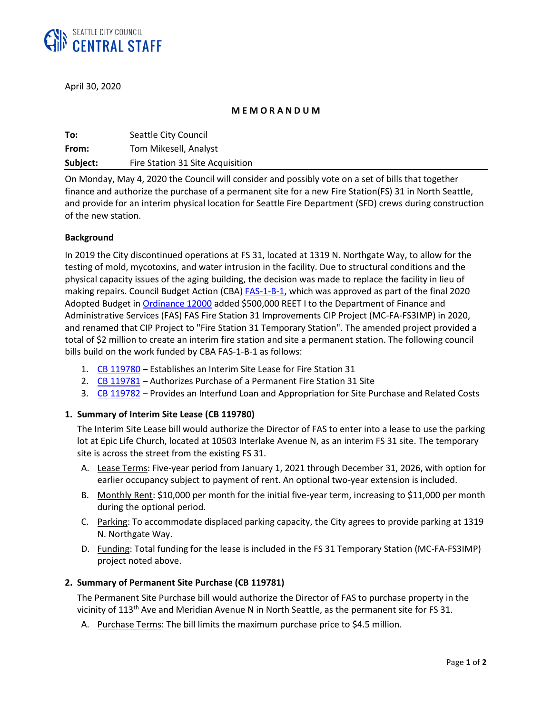

April 30, 2020

#### **M E M O R A N D U M**

| To:      | Seattle City Council             |
|----------|----------------------------------|
| From:    | Tom Mikesell, Analyst            |
| Subject: | Fire Station 31 Site Acquisition |

On Monday, May 4, 2020 the Council will consider and possibly vote on a set of bills that together finance and authorize the purchase of a permanent site for a new Fire Station(FS) 31 in North Seattle, and provide for an interim physical location for Seattle Fire Department (SFD) crews during construction of the new station.

#### **Background**

In 2019 the City discontinued operations at FS 31, located at 1319 N. Northgate Way, to allow for the testing of mold, mycotoxins, and water intrusion in the facility. Due to structural conditions and the physical capacity issues of the aging building, the decision was made to replace the facility in lieu of making repairs. Council Budget Action (CBA) [FAS-1-B-1,](http://seattle.legistar.com/View.ashx?M=F&ID=7853666&GUID=9270BC3B-CA92-4BB7-8D2D-4C56540C4FC6) which was approved as part of the final 2020 Adopted Budget in [Ordinance 12000](https://seattle.legistar.com/LegislationDetail.aspx?ID=4198679&GUID=0C0A64A3-27D1-41B7-8A62-4D6F95DF7372&Options=ID|Text|&Search=) added \$500,000 REET I to the Department of Finance and Administrative Services (FAS) FAS Fire Station 31 Improvements CIP Project (MC-FA-FS3IMP) in 2020, and renamed that CIP Project to "Fire Station 31 Temporary Station". The amended project provided a total of \$2 million to create an interim fire station and site a permanent station. The following council bills build on the work funded by CBA FAS-1-B-1 as follows:

- 1. CB [119780](https://seattle.legistar.com/LegislationDetail.aspx?ID=4427718&GUID=DC97B477-5601-4B50-8DF5-CA7EE1E85656&Options=ID%7CText%7C&Search=&FullText=1) Establishes an Interim Site Lease for Fire Station 31
- 2. CB [119781](https://seattle.legistar.com/LegislationDetail.aspx?ID=4427719&GUID=08860C31-33A8-49A9-9099-912C9DCBC0ED&Options=ID|Text|&Search=) Authorizes Purchase of a Permanent Fire Station 31 Site
- 3. CB [119782](https://seattle.legistar.com/LegislationDetail.aspx?ID=4427720&GUID=8A63B66C-8EE8-41D6-8FCE-639CE6BAB8D9&Options=ID|Text|&Search=) Provides an Interfund Loan and Appropriation for Site Purchase and Related Costs

## **1. Summary of Interim Site Lease (CB 119780)**

The Interim Site Lease bill would authorize the Director of FAS to enter into a lease to use the parking lot at Epic Life Church, located at 10503 Interlake Avenue N, as an interim FS 31 site. The temporary site is across the street from the existing FS 31.

- A. Lease Terms: Five-year period from January 1, 2021 through December 31, 2026, with option for earlier occupancy subject to payment of rent. An optional two-year extension is included.
- B. Monthly Rent: \$10,000 per month for the initial five-year term, increasing to \$11,000 per month during the optional period.
- C. Parking: To accommodate displaced parking capacity, the City agrees to provide parking at 1319 N. Northgate Way.
- D. Funding: Total funding for the lease is included in the FS 31 Temporary Station (MC-FA-FS3IMP) project noted above.

## **2. Summary of Permanent Site Purchase (CB 119781)**

The Permanent Site Purchase bill would authorize the Director of FAS to purchase property in the vicinity of 113<sup>th</sup> Ave and Meridian Avenue N in North Seattle, as the permanent site for FS 31.

A. Purchase Terms: The bill limits the maximum purchase price to \$4.5 million.